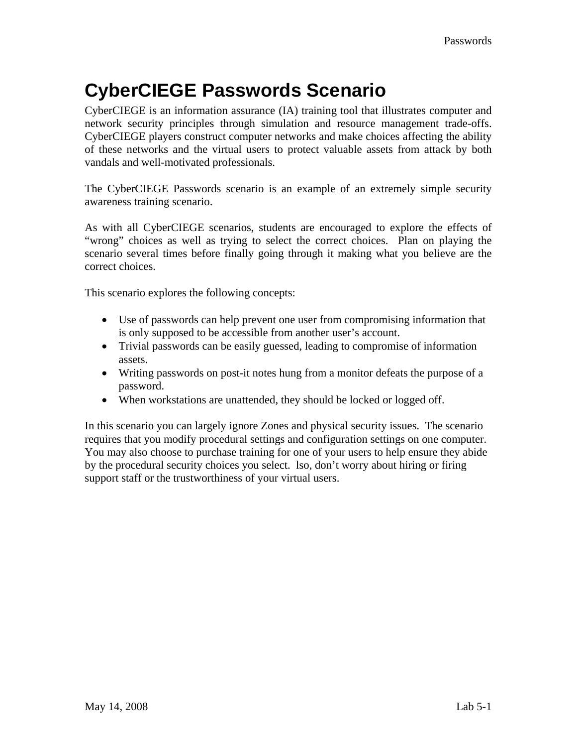## **CyberCIEGE Passwords Scenario**

CyberCIEGE is an information assurance (IA) training tool that illustrates computer and network security principles through simulation and resource management trade-offs. CyberCIEGE players construct computer networks and make choices affecting the ability of these networks and the virtual users to protect valuable assets from attack by both vandals and well-motivated professionals.

The CyberCIEGE Passwords scenario is an example of an extremely simple security awareness training scenario.

As with all CyberCIEGE scenarios, students are encouraged to explore the effects of "wrong" choices as well as trying to select the correct choices. Plan on playing the scenario several times before finally going through it making what you believe are the correct choices.

This scenario explores the following concepts:

- Use of passwords can help prevent one user from compromising information that is only supposed to be accessible from another user's account.
- Trivial passwords can be easily guessed, leading to compromise of information assets.
- Writing passwords on post-it notes hung from a monitor defeats the purpose of a password.
- When workstations are unattended, they should be locked or logged off.

In this scenario you can largely ignore Zones and physical security issues. The scenario requires that you modify procedural settings and configuration settings on one computer. You may also choose to purchase training for one of your users to help ensure they abide by the procedural security choices you select. lso, don't worry about hiring or firing support staff or the trustworthiness of your virtual users.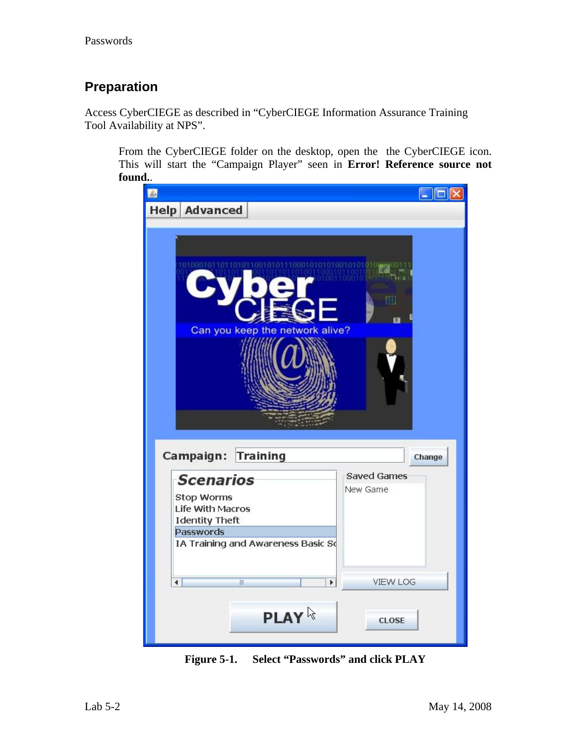#### **Preparation**

Access CyberCIEGE as described in "CyberCIEGE Information Assurance Training Tool Availability at NPS".

From the CyberCIEGE folder on the desktop, open the the CyberCIEGE icon. This will start the "Campaign Player" seen in **Error! Reference source not found.**.



**Figure 5-1. Select "Passwords" and click PLAY**